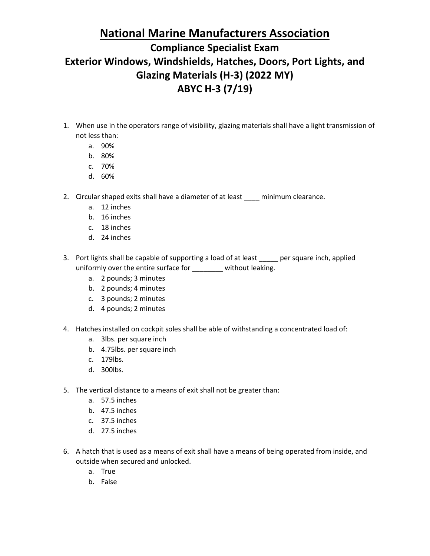#### **National Marine Manufacturers Association**

### **Compliance Specialist Exam Exterior Windows, Windshields, Hatches, Doors, Port Lights, and Glazing Materials (H-3) (2022 MY) ABYC H-3 (7/19)**

- 1. When use in the operators range of visibility, glazing materials shall have a light transmission of not less than:
	- a. 90%
	- b. 80%
	- c. 70%
	- d. 60%
- 2. Circular shaped exits shall have a diameter of at least \_\_\_\_ minimum clearance.
	- a. 12 inches
	- b. 16 inches
	- c. 18 inches
	- d. 24 inches
- 3. Port lights shall be capable of supporting a load of at least per square inch, applied uniformly over the entire surface for \_\_\_\_\_\_\_\_ without leaking.
	- a. 2 pounds; 3 minutes
	- b. 2 pounds; 4 minutes
	- c. 3 pounds; 2 minutes
	- d. 4 pounds; 2 minutes
- 4. Hatches installed on cockpit soles shall be able of withstanding a concentrated load of:
	- a. 3lbs. per square inch
	- b. 4.75lbs. per square inch
	- c. 179lbs.
	- d. 300lbs.
- 5. The vertical distance to a means of exit shall not be greater than:
	- a. 57.5 inches
	- b. 47.5 inches
	- c. 37.5 inches
	- d. 27.5 inches
- 6. A hatch that is used as a means of exit shall have a means of being operated from inside, and outside when secured and unlocked.
	- a. True
	- b. False